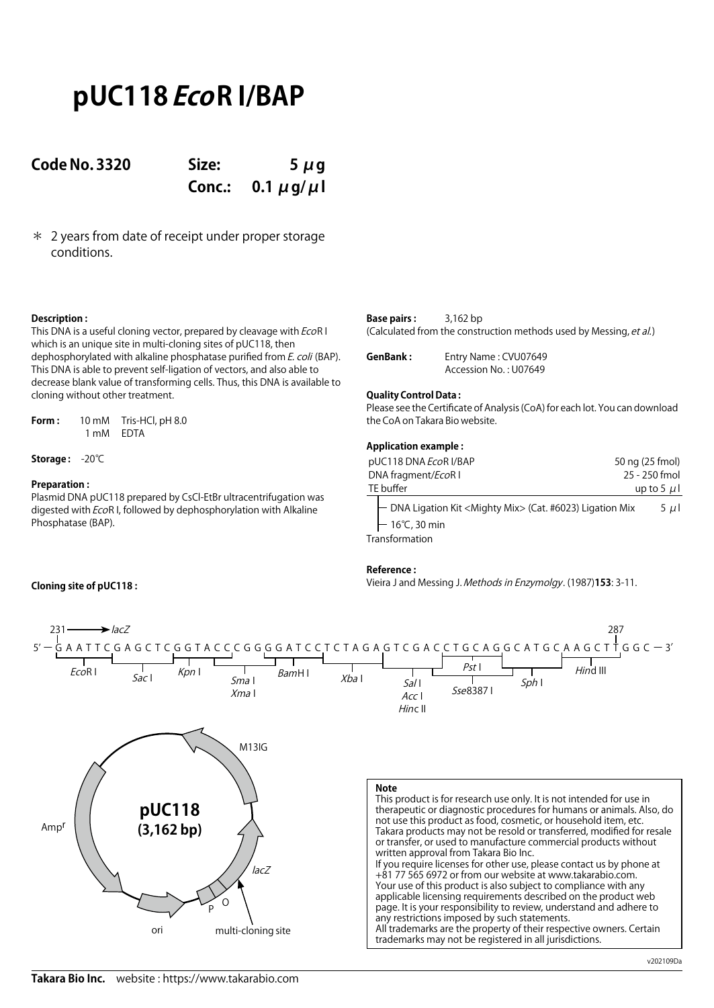# **pUC118 EcoR I/BAP**

**Code No. 3320 Size: 5 μg Conc.: 0.1 μg/μl**

\* 2 years from date of receipt under proper storage conditions.

# **Description :**

This DNA is a useful cloning vector, prepared by cleavage with EcoR I which is an unique site in multi-cloning sites of pUC118, then dephosphorylated with alkaline phosphatase purified from E. coli (BAP). This DNA is able to prevent self-ligation of vectors, and also able to decrease blank value of transforming cells. Thus, this DNA is available to cloning without other treatment.

**Form :** 10 mM Tris-HCl, pH 8.0 1 mM EDTA

**Storage :** -20℃

**Cloning site of pUC118 :**

## **Preparation :**

Plasmid DNA pUC118 prepared by CsCl-EtBr ultracentrifugation was digested with EcoR I, followed by dephosphorylation with Alkaline Phosphatase (BAP).

| <b>Base pairs:</b> | $3,162$ bp                                                         |
|--------------------|--------------------------------------------------------------------|
|                    | (Calculated from the construction methods used by Messing, et al.) |

| GenBank: | Entry Name: CVU07649  |
|----------|-----------------------|
|          | Accession No.: U07649 |

### **Quality Control Data :**

Please see the Certificate of Analysis (CoA) for each lot. You can download the CoA on Takara Bio website.

#### **Application example :**

| pUC118 DNA EcoR I/BAP                                                                                     | 50 ng (25 fmol) |
|-----------------------------------------------------------------------------------------------------------|-----------------|
| DNA fragment/EcoR I                                                                                       | 25 - 250 fmol   |
| TE buffer                                                                                                 | up to 5 $\mu$   |
| DNA Ligation Kit <mighty mix=""> (Cat. #6023) Ligation Mix<br/><math>-16^{\circ}</math>C, 30 min</mighty> | $5 \mu$         |
| Transformation                                                                                            |                 |

#### **Reference :**

Vieira J and Messing J. Methods in Enzymolgy. (1987)**153**: 3-11.